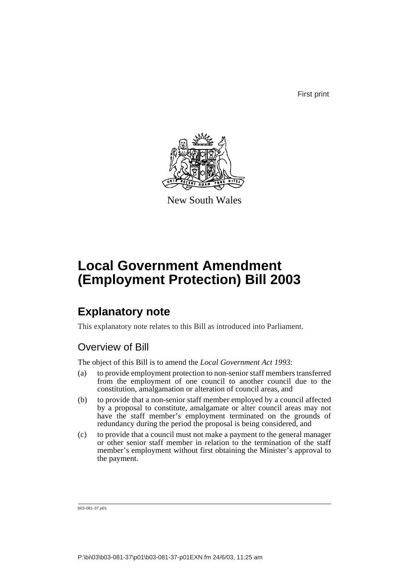First print



New South Wales

# **Local Government Amendment (Employment Protection) Bill 2003**

## **Explanatory note**

This explanatory note relates to this Bill as introduced into Parliament.

### Overview of Bill

The object of this Bill is to amend the *Local Government Act 1993*:

- (a) to provide employment protection to non-senior staff members transferred from the employment of one council to another council due to the constitution, amalgamation or alteration of council areas, and
- (b) to provide that a non-senior staff member employed by a council affected by a proposal to constitute, amalgamate or alter council areas may not have the staff member's employment terminated on the grounds of redundancy during the period the proposal is being considered, and
- (c) to provide that a council must not make a payment to the general manager or other senior staff member in relation to the termination of the staff member's employment without first obtaining the Minister's approval to the payment.

b03-081-37.p01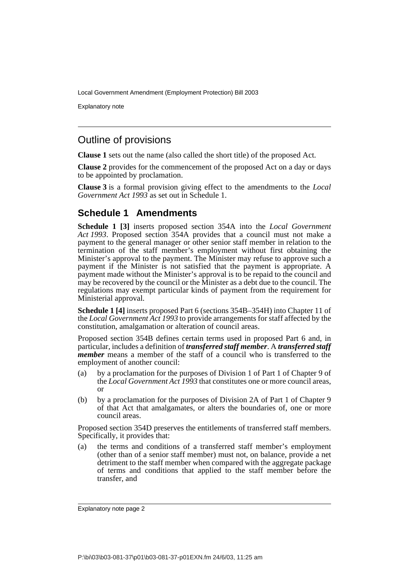Explanatory note

### Outline of provisions

**Clause 1** sets out the name (also called the short title) of the proposed Act.

**Clause 2** provides for the commencement of the proposed Act on a day or days to be appointed by proclamation.

**Clause 3** is a formal provision giving effect to the amendments to the *Local Government Act 1993* as set out in Schedule 1.

#### **Schedule 1 Amendments**

**Schedule 1 [3]** inserts proposed section 354A into the *Local Government Act 1993*. Proposed section 354A provides that a council must not make a payment to the general manager or other senior staff member in relation to the termination of the staff member's employment without first obtaining the Minister's approval to the payment. The Minister may refuse to approve such a payment if the Minister is not satisfied that the payment is appropriate. A payment made without the Minister's approval is to be repaid to the council and may be recovered by the council or the Minister as a debt due to the council. The regulations may exempt particular kinds of payment from the requirement for Ministerial approval.

**Schedule 1 [4]** inserts proposed Part 6 (sections 354B–354H) into Chapter 11 of the *Local Government Act 1993* to provide arrangements for staff affected by the constitution, amalgamation or alteration of council areas.

Proposed section 354B defines certain terms used in proposed Part 6 and, in particular, includes a definition of *transferred staff member*. A *transferred staff member* means a member of the staff of a council who is transferred to the employment of another council:

- (a) by a proclamation for the purposes of Division 1 of Part 1 of Chapter 9 of the *Local Government Act 1993* that constitutes one or more council areas, or
- (b) by a proclamation for the purposes of Division 2A of Part 1 of Chapter 9 of that Act that amalgamates, or alters the boundaries of, one or more council areas.

Proposed section 354D preserves the entitlements of transferred staff members. Specifically, it provides that:

(a) the terms and conditions of a transferred staff member's employment (other than of a senior staff member) must not, on balance, provide a net detriment to the staff member when compared with the aggregate package of terms and conditions that applied to the staff member before the transfer, and

Explanatory note page 2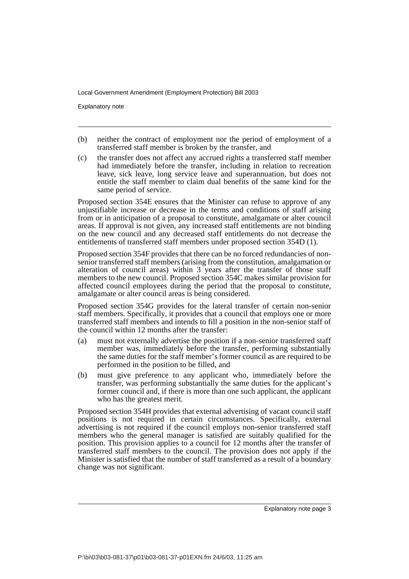Explanatory note

- (b) neither the contract of employment nor the period of employment of a transferred staff member is broken by the transfer, and
- (c) the transfer does not affect any accrued rights a transferred staff member had immediately before the transfer, including in relation to recreation leave, sick leave, long service leave and superannuation, but does not entitle the staff member to claim dual benefits of the same kind for the same period of service.

Proposed section 354E ensures that the Minister can refuse to approve of any unjustifiable increase or decrease in the terms and conditions of staff arising from or in anticipation of a proposal to constitute, amalgamate or alter council areas. If approval is not given, any increased staff entitlements are not binding on the new council and any decreased staff entitlements do not decrease the entitlements of transferred staff members under proposed section 354D (1).

Proposed section 354F provides that there can be no forced redundancies of nonsenior transferred staff members (arising from the constitution, amalgamation or alteration of council areas) within 3 years after the transfer of those staff members to the new council. Proposed section 354C makes similar provision for affected council employees during the period that the proposal to constitute, amalgamate or alter council areas is being considered.

Proposed section 354G provides for the lateral transfer of certain non-senior staff members. Specifically, it provides that a council that employs one or more transferred staff members and intends to fill a position in the non-senior staff of the council within 12 months after the transfer:

- (a) must not externally advertise the position if a non-senior transferred staff member was, immediately before the transfer, performing substantially the same duties for the staff member's former council as are required to be performed in the position to be filled, and
- (b) must give preference to any applicant who, immediately before the transfer, was performing substantially the same duties for the applicant's former council and, if there is more than one such applicant, the applicant who has the greatest merit.

Proposed section 354H provides that external advertising of vacant council staff positions is not required in certain circumstances. Specifically, external advertising is not required if the council employs non-senior transferred staff members who the general manager is satisfied are suitably qualified for the position. This provision applies to a council for 12 months after the transfer of transferred staff members to the council. The provision does not apply if the Minister is satisfied that the number of staff transferred as a result of a boundary change was not significant.

Explanatory note page 3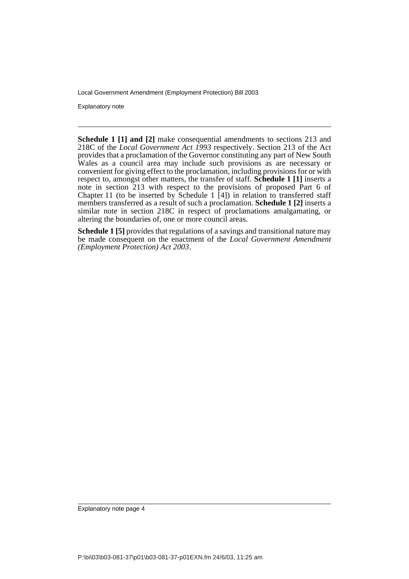Explanatory note

**Schedule 1 [1] and [2]** make consequential amendments to sections 213 and 218C of the *Local Government Act 1993* respectively. Section 213 of the Act provides that a proclamation of the Governor constituting any part of New South Wales as a council area may include such provisions as are necessary or convenient for giving effect to the proclamation, including provisions for or with respect to, amongst other matters, the transfer of staff. **Schedule 1 [1]** inserts a note in section 213 with respect to the provisions of proposed Part 6 of Chapter 11 (to be inserted by Schedule 1  $\overline{[4]}$ ) in relation to transferred staff members transferred as a result of such a proclamation. **Schedule 1 [2]** inserts a similar note in section 218C in respect of proclamations amalgamating, or altering the boundaries of, one or more council areas.

**Schedule 1 [5]** provides that regulations of a savings and transitional nature may be made consequent on the enactment of the *Local Government Amendment (Employment Protection) Act 2003*.

Explanatory note page 4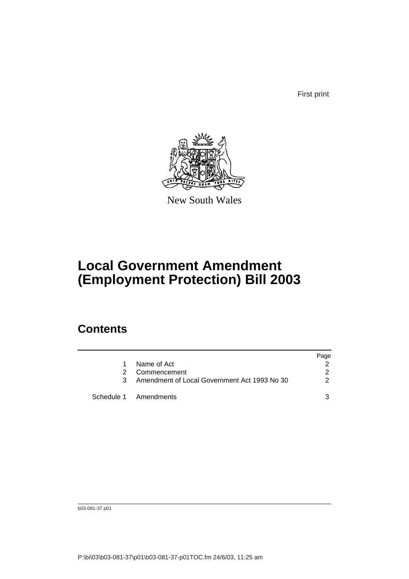First print



New South Wales

# **Local Government Amendment (Employment Protection) Bill 2003**

## **Contents**

|               |                                              | Page |
|---------------|----------------------------------------------|------|
|               | Name of Act                                  |      |
| $\mathcal{P}$ | Commencement                                 | 2    |
| 3             | Amendment of Local Government Act 1993 No 30 | 2    |
|               | Schedule 1 Amendments                        |      |

b03-081-37.p01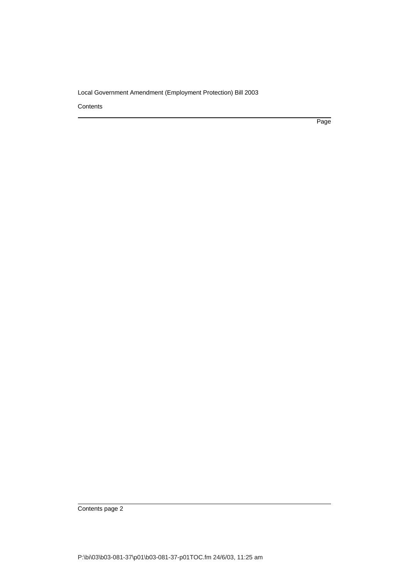**Contents** 

Page

Contents page 2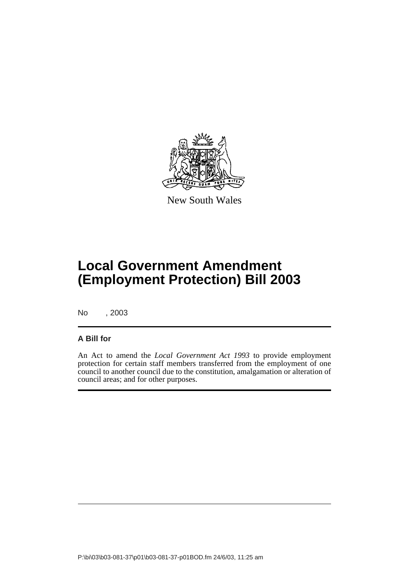

New South Wales

# **Local Government Amendment (Employment Protection) Bill 2003**

No , 2003

#### **A Bill for**

An Act to amend the *Local Government Act 1993* to provide employment protection for certain staff members transferred from the employment of one council to another council due to the constitution, amalgamation or alteration of council areas; and for other purposes.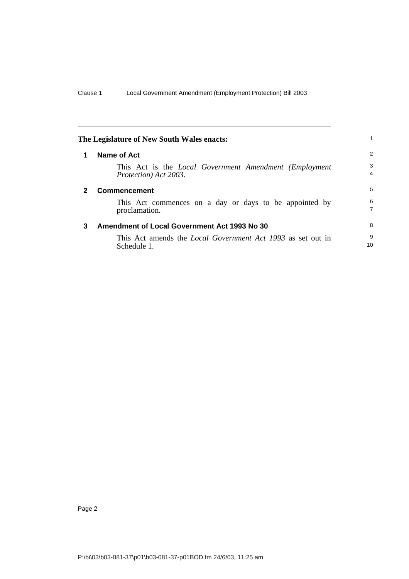<span id="page-7-2"></span><span id="page-7-1"></span><span id="page-7-0"></span>

| The Legislature of New South Wales enacts: |                                                                                                  |                     |
|--------------------------------------------|--------------------------------------------------------------------------------------------------|---------------------|
|                                            | Name of Act                                                                                      | 2                   |
|                                            | This Act is the <i>Local Government Amendment (Employment</i> )<br><i>Protection</i> ) Act 2003. | 3<br>4              |
| 2                                          | <b>Commencement</b>                                                                              | 5                   |
|                                            | This Act commences on a day or days to be appointed by<br>proclamation.                          | 6<br>$\overline{7}$ |
| 3                                          | Amendment of Local Government Act 1993 No 30                                                     | 8                   |
|                                            | This Act amends the <i>Local Government Act 1993</i> as set out in<br>Schedule 1.                | 9<br>10             |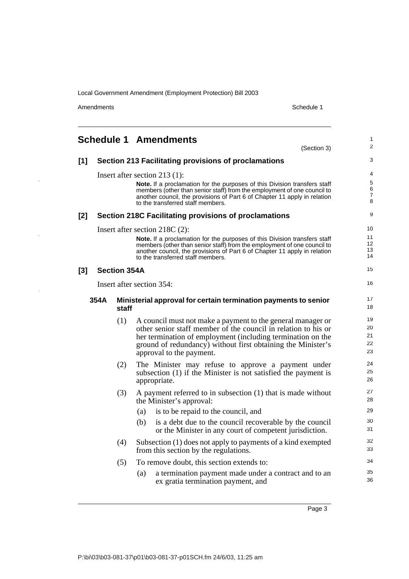Amendments Schedule 1

 $\frac{1}{2}$ 

J

ļ

<span id="page-8-0"></span>

|       |      |                     | <b>Schedule 1 Amendments</b>                          | (Section 3)                                                                                                                                                                                                                              | 1<br>$\overline{c}$  |
|-------|------|---------------------|-------------------------------------------------------|------------------------------------------------------------------------------------------------------------------------------------------------------------------------------------------------------------------------------------------|----------------------|
| $[1]$ |      |                     | Section 213 Facilitating provisions of proclamations  |                                                                                                                                                                                                                                          | 3                    |
|       |      |                     | Insert after section 213 $(1)$ :                      |                                                                                                                                                                                                                                          | 4                    |
|       |      |                     |                                                       | Note. If a proclamation for the purposes of this Division transfers staff<br>members (other than senior staff) from the employment of one council to                                                                                     | 5<br>6               |
|       |      |                     | to the transferred staff members.                     | another council, the provisions of Part 6 of Chapter 11 apply in relation                                                                                                                                                                | 7<br>8               |
| $[2]$ |      |                     | Section 218C Facilitating provisions of proclamations |                                                                                                                                                                                                                                          | 9                    |
|       |      |                     | Insert after section 218C (2):                        |                                                                                                                                                                                                                                          | 10                   |
|       |      |                     | to the transferred staff members.                     | <b>Note.</b> If a proclamation for the purposes of this Division transfers staff<br>members (other than senior staff) from the employment of one council to<br>another council, the provisions of Part 6 of Chapter 11 apply in relation | 11<br>12<br>13<br>14 |
| $[3]$ |      | <b>Section 354A</b> |                                                       |                                                                                                                                                                                                                                          | 15                   |
|       |      |                     | Insert after section 354:                             |                                                                                                                                                                                                                                          | 16                   |
|       | 354A |                     |                                                       | Ministerial approval for certain termination payments to senior                                                                                                                                                                          | 17                   |
|       |      | staff               |                                                       |                                                                                                                                                                                                                                          | 18                   |
|       |      | (1)                 |                                                       | A council must not make a payment to the general manager or                                                                                                                                                                              | 19                   |
|       |      |                     |                                                       | other senior staff member of the council in relation to his or<br>her termination of employment (including termination on the                                                                                                            | 20<br>21             |
|       |      |                     |                                                       | ground of redundancy) without first obtaining the Minister's                                                                                                                                                                             | 22                   |
|       |      |                     | approval to the payment.                              |                                                                                                                                                                                                                                          | 23                   |
|       |      | (2)                 |                                                       | The Minister may refuse to approve a payment under                                                                                                                                                                                       | 24                   |
|       |      |                     | appropriate.                                          | subsection (1) if the Minister is not satisfied the payment is                                                                                                                                                                           | 25<br>26             |
|       |      | (3)                 | the Minister's approval:                              | A payment referred to in subsection $(1)$ that is made without                                                                                                                                                                           | 27<br>28             |
|       |      |                     | is to be repaid to the council, and<br>(a)            |                                                                                                                                                                                                                                          | 29                   |
|       |      |                     | (b)                                                   | is a debt due to the council recoverable by the council<br>or the Minister in any court of competent jurisdiction.                                                                                                                       | 30<br>31             |
|       |      |                     |                                                       |                                                                                                                                                                                                                                          | 32                   |
|       |      | (4)                 | from this section by the regulations.                 | Subsection (1) does not apply to payments of a kind exempted                                                                                                                                                                             | 33                   |
|       |      | (5)                 | To remove doubt, this section extends to:             |                                                                                                                                                                                                                                          | 34                   |
|       |      |                     | (a)<br>ex gratia termination payment, and             | a termination payment made under a contract and to an                                                                                                                                                                                    | 35<br>36             |

Page 3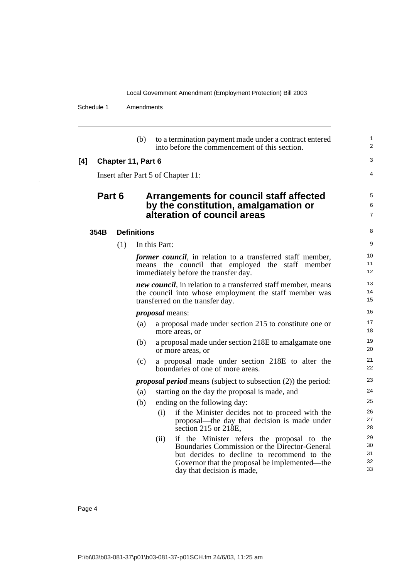Schedule 1 Amendments

l,

| (b)<br>to a termination payment made under a contract entered<br>into before the commencement of this section.<br>[4]<br>Chapter 11, Part 6<br>Insert after Part 5 of Chapter 11:<br>Part 6<br>Arrangements for council staff affected<br>by the constitution, amalgamation or<br>alteration of council areas<br><b>Definitions</b><br>354B<br>In this Part:<br>(1)<br><i>former council</i> , in relation to a transferred staff member,<br>means the council that employed the staff member<br>immediately before the transfer day.<br>new council, in relation to a transferred staff member, means<br>the council into whose employment the staff member was<br>transferred on the transfer day.<br><i>proposal</i> means:<br>(a)<br>a proposal made under section 215 to constitute one or<br>more areas, or<br>(b)<br>a proposal made under section 218E to amalgamate one<br>or more areas, or<br>a proposal made under section 218E to alter the<br>(c)<br>boundaries of one of more areas.<br><i>proposal period</i> means (subject to subsection (2)) the period:<br>starting on the day the proposal is made, and<br>(a)<br>(b)<br>ending on the following day:<br>if the Minister decides not to proceed with the<br>(i)<br>proposal—the day that decision is made under<br>section 215 or 218E,<br>if the Minister refers the proposal to the<br>(ii)<br>Boundaries Commission or the Director-General<br>but decides to decline to recommend to the<br>Governor that the proposal be implemented—the<br>day that decision is made, |  |  |                            |
|--------------------------------------------------------------------------------------------------------------------------------------------------------------------------------------------------------------------------------------------------------------------------------------------------------------------------------------------------------------------------------------------------------------------------------------------------------------------------------------------------------------------------------------------------------------------------------------------------------------------------------------------------------------------------------------------------------------------------------------------------------------------------------------------------------------------------------------------------------------------------------------------------------------------------------------------------------------------------------------------------------------------------------------------------------------------------------------------------------------------------------------------------------------------------------------------------------------------------------------------------------------------------------------------------------------------------------------------------------------------------------------------------------------------------------------------------------------------------------------------------------------------------------------------------|--|--|----------------------------|
|                                                                                                                                                                                                                                                                                                                                                                                                                                                                                                                                                                                                                                                                                                                                                                                                                                                                                                                                                                                                                                                                                                                                                                                                                                                                                                                                                                                                                                                                                                                                                  |  |  | $\mathbf{1}$<br>2          |
|                                                                                                                                                                                                                                                                                                                                                                                                                                                                                                                                                                                                                                                                                                                                                                                                                                                                                                                                                                                                                                                                                                                                                                                                                                                                                                                                                                                                                                                                                                                                                  |  |  | 3                          |
|                                                                                                                                                                                                                                                                                                                                                                                                                                                                                                                                                                                                                                                                                                                                                                                                                                                                                                                                                                                                                                                                                                                                                                                                                                                                                                                                                                                                                                                                                                                                                  |  |  | 4                          |
|                                                                                                                                                                                                                                                                                                                                                                                                                                                                                                                                                                                                                                                                                                                                                                                                                                                                                                                                                                                                                                                                                                                                                                                                                                                                                                                                                                                                                                                                                                                                                  |  |  | 5<br>6<br>$\overline{7}$   |
|                                                                                                                                                                                                                                                                                                                                                                                                                                                                                                                                                                                                                                                                                                                                                                                                                                                                                                                                                                                                                                                                                                                                                                                                                                                                                                                                                                                                                                                                                                                                                  |  |  | 8                          |
|                                                                                                                                                                                                                                                                                                                                                                                                                                                                                                                                                                                                                                                                                                                                                                                                                                                                                                                                                                                                                                                                                                                                                                                                                                                                                                                                                                                                                                                                                                                                                  |  |  | 9                          |
|                                                                                                                                                                                                                                                                                                                                                                                                                                                                                                                                                                                                                                                                                                                                                                                                                                                                                                                                                                                                                                                                                                                                                                                                                                                                                                                                                                                                                                                                                                                                                  |  |  | 10<br>11<br>12             |
|                                                                                                                                                                                                                                                                                                                                                                                                                                                                                                                                                                                                                                                                                                                                                                                                                                                                                                                                                                                                                                                                                                                                                                                                                                                                                                                                                                                                                                                                                                                                                  |  |  | 13<br>14<br>15             |
|                                                                                                                                                                                                                                                                                                                                                                                                                                                                                                                                                                                                                                                                                                                                                                                                                                                                                                                                                                                                                                                                                                                                                                                                                                                                                                                                                                                                                                                                                                                                                  |  |  | 16                         |
|                                                                                                                                                                                                                                                                                                                                                                                                                                                                                                                                                                                                                                                                                                                                                                                                                                                                                                                                                                                                                                                                                                                                                                                                                                                                                                                                                                                                                                                                                                                                                  |  |  | 17<br>18                   |
|                                                                                                                                                                                                                                                                                                                                                                                                                                                                                                                                                                                                                                                                                                                                                                                                                                                                                                                                                                                                                                                                                                                                                                                                                                                                                                                                                                                                                                                                                                                                                  |  |  | 19<br>20                   |
|                                                                                                                                                                                                                                                                                                                                                                                                                                                                                                                                                                                                                                                                                                                                                                                                                                                                                                                                                                                                                                                                                                                                                                                                                                                                                                                                                                                                                                                                                                                                                  |  |  | 21<br>22                   |
|                                                                                                                                                                                                                                                                                                                                                                                                                                                                                                                                                                                                                                                                                                                                                                                                                                                                                                                                                                                                                                                                                                                                                                                                                                                                                                                                                                                                                                                                                                                                                  |  |  | 23                         |
|                                                                                                                                                                                                                                                                                                                                                                                                                                                                                                                                                                                                                                                                                                                                                                                                                                                                                                                                                                                                                                                                                                                                                                                                                                                                                                                                                                                                                                                                                                                                                  |  |  | 24                         |
|                                                                                                                                                                                                                                                                                                                                                                                                                                                                                                                                                                                                                                                                                                                                                                                                                                                                                                                                                                                                                                                                                                                                                                                                                                                                                                                                                                                                                                                                                                                                                  |  |  | 25                         |
|                                                                                                                                                                                                                                                                                                                                                                                                                                                                                                                                                                                                                                                                                                                                                                                                                                                                                                                                                                                                                                                                                                                                                                                                                                                                                                                                                                                                                                                                                                                                                  |  |  | 26<br>27<br>28             |
|                                                                                                                                                                                                                                                                                                                                                                                                                                                                                                                                                                                                                                                                                                                                                                                                                                                                                                                                                                                                                                                                                                                                                                                                                                                                                                                                                                                                                                                                                                                                                  |  |  | 29<br>30<br>31<br>32<br>33 |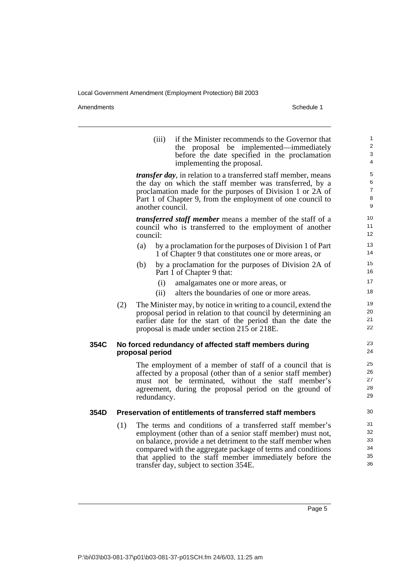Amendments Schedule 1

|      |     | (iii)<br>if the Minister recommends to the Governor that<br>the proposal be implemented—immediately<br>before the date specified in the proclamation<br>implementing the proposal.                                                                                                                               | 1<br>2<br>3<br>4                   |
|------|-----|------------------------------------------------------------------------------------------------------------------------------------------------------------------------------------------------------------------------------------------------------------------------------------------------------------------|------------------------------------|
|      |     | <i>transfer day</i> , in relation to a transferred staff member, means<br>the day on which the staff member was transferred, by a<br>proclamation made for the purposes of Division 1 or 2A of<br>Part 1 of Chapter 9, from the employment of one council to<br>another council.                                 | 5<br>6<br>$\overline{7}$<br>8<br>9 |
|      |     | <i>transferred staff member</i> means a member of the staff of a<br>council who is transferred to the employment of another<br>council:                                                                                                                                                                          | 10<br>11<br>12                     |
|      |     | by a proclamation for the purposes of Division 1 of Part<br>(a)<br>1 of Chapter 9 that constitutes one or more areas, or                                                                                                                                                                                         | 13<br>14                           |
|      |     | by a proclamation for the purposes of Division 2A of<br>(b)<br>Part 1 of Chapter 9 that:                                                                                                                                                                                                                         | 15<br>16                           |
|      |     | (i)<br>amalgamates one or more areas, or                                                                                                                                                                                                                                                                         | 17                                 |
|      |     | alters the boundaries of one or more areas.<br>(ii)                                                                                                                                                                                                                                                              | 18                                 |
|      | (2) | The Minister may, by notice in writing to a council, extend the<br>proposal period in relation to that council by determining an<br>earlier date for the start of the period than the date the<br>proposal is made under section 215 or 218E.                                                                    | 19<br>20<br>21<br>22               |
| 354C |     | No forced redundancy of affected staff members during<br>proposal period                                                                                                                                                                                                                                         | 23<br>24                           |
|      |     | The employment of a member of staff of a council that is<br>affected by a proposal (other than of a senior staff member)<br>must not be terminated, without the staff member's<br>agreement, during the proposal period on the ground of<br>redundancy.                                                          | 25<br>26<br>27<br>28<br>29         |
| 354D |     | Preservation of entitlements of transferred staff members                                                                                                                                                                                                                                                        | 30                                 |
|      | (1) | The terms and conditions of a transferred staff member's<br>employment (other than of a senior staff member) must not,<br>on balance, provide a net detriment to the staff member when<br>compared with the aggregate package of terms and conditions<br>that applied to the staff member immediately before the | 31<br>32<br>33<br>34<br>35         |

Page 5

36

transfer day, subject to section 354E.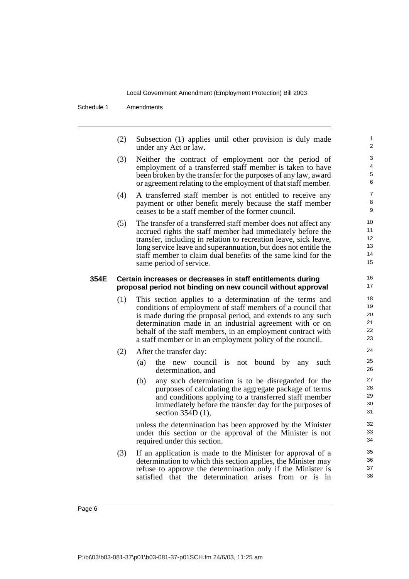Schedule 1 Amendments

(2) Subsection (1) applies until other provision is duly made under any Act or law.

- (3) Neither the contract of employment nor the period of employment of a transferred staff member is taken to have been broken by the transfer for the purposes of any law, award or agreement relating to the employment of that staff member.
- (4) A transferred staff member is not entitled to receive any payment or other benefit merely because the staff member ceases to be a staff member of the former council.
- (5) The transfer of a transferred staff member does not affect any accrued rights the staff member had immediately before the transfer, including in relation to recreation leave, sick leave, long service leave and superannuation, but does not entitle the staff member to claim dual benefits of the same kind for the same period of service.

#### **354E Certain increases or decreases in staff entitlements during proposal period not binding on new council without approval**

- (1) This section applies to a determination of the terms and conditions of employment of staff members of a council that is made during the proposal period, and extends to any such determination made in an industrial agreement with or on behalf of the staff members, in an employment contract with a staff member or in an employment policy of the council.
- (2) After the transfer day:
	- (a) the new council is not bound by any such determination, and
	- (b) any such determination is to be disregarded for the purposes of calculating the aggregate package of terms and conditions applying to a transferred staff member immediately before the transfer day for the purposes of section 354D (1),

unless the determination has been approved by the Minister under this section or the approval of the Minister is not required under this section.

(3) If an application is made to the Minister for approval of a determination to which this section applies, the Minister may refuse to approve the determination only if the Minister is satisfied that the determination arises from or is in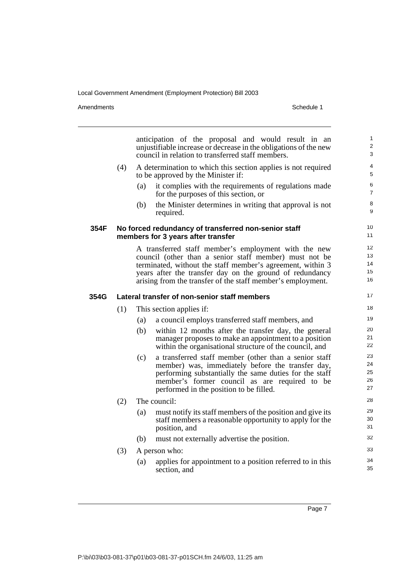Amendments Schedule 1

|      |     |                          | anticipation of the proposal and would result in an<br>unjustifiable increase or decrease in the obligations of the new<br>council in relation to transferred staff members.                                                                                                                            | 1<br>$\overline{2}$<br>3   |  |
|------|-----|--------------------------|---------------------------------------------------------------------------------------------------------------------------------------------------------------------------------------------------------------------------------------------------------------------------------------------------------|----------------------------|--|
|      | (4) |                          | A determination to which this section applies is not required<br>to be approved by the Minister if:                                                                                                                                                                                                     | 4<br>5                     |  |
|      |     | (a)                      | it complies with the requirements of regulations made<br>for the purposes of this section, or                                                                                                                                                                                                           | 6<br>$\overline{7}$        |  |
|      |     | (b)                      | the Minister determines in writing that approval is not<br>required.                                                                                                                                                                                                                                    | 8<br>9                     |  |
| 354F |     |                          | No forced redundancy of transferred non-senior staff<br>members for 3 years after transfer                                                                                                                                                                                                              | 10<br>11                   |  |
|      |     |                          | A transferred staff member's employment with the new<br>council (other than a senior staff member) must not be<br>terminated, without the staff member's agreement, within 3<br>years after the transfer day on the ground of redundancy<br>arising from the transfer of the staff member's employment. | 12<br>13<br>14<br>15<br>16 |  |
| 354G |     |                          | Lateral transfer of non-senior staff members                                                                                                                                                                                                                                                            | 17                         |  |
|      | (1) | This section applies if: |                                                                                                                                                                                                                                                                                                         |                            |  |
|      |     | (a)                      | a council employs transferred staff members, and                                                                                                                                                                                                                                                        | 19                         |  |
|      |     | (b)                      | within 12 months after the transfer day, the general<br>manager proposes to make an appointment to a position<br>within the organisational structure of the council, and                                                                                                                                | 20<br>21<br>22             |  |
|      |     | (c)                      | a transferred staff member (other than a senior staff<br>member) was, immediately before the transfer day,<br>performing substantially the same duties for the staff<br>member's former council as are required to be<br>performed in the position to be filled.                                        | 23<br>24<br>25<br>26<br>27 |  |
|      | (2) |                          | The council:                                                                                                                                                                                                                                                                                            | 28                         |  |
|      |     | (a)                      | must notify its staff members of the position and give its<br>staff members a reasonable opportunity to apply for the<br>position, and                                                                                                                                                                  | 29<br>30<br>31             |  |
|      |     | (b)                      | must not externally advertise the position.                                                                                                                                                                                                                                                             | 32                         |  |
|      | (3) |                          | A person who:                                                                                                                                                                                                                                                                                           | 33                         |  |
|      |     | (a)                      | applies for appointment to a position referred to in this<br>section, and                                                                                                                                                                                                                               | 34<br>35                   |  |

Page 7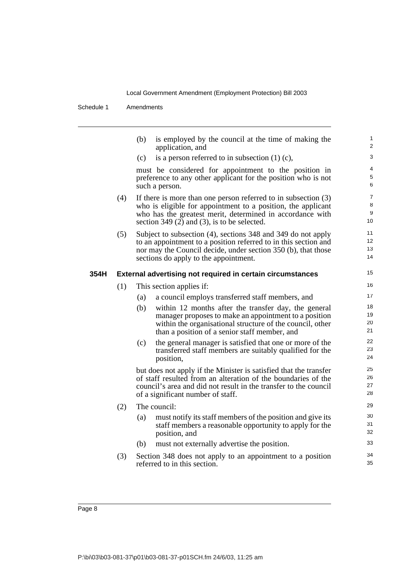Schedule 1 Amendments

|      |     | (b)                      | is employed by the council at the time of making the<br>application, and                                      | $\mathbf{1}$<br>$\overline{2}$ |  |  |
|------|-----|--------------------------|---------------------------------------------------------------------------------------------------------------|--------------------------------|--|--|
|      |     | (c)                      | is a person referred to in subsection $(1)$ $(c)$ ,                                                           | 3                              |  |  |
|      |     |                          | must be considered for appointment to the position in                                                         | 4                              |  |  |
|      |     |                          | preference to any other applicant for the position who is not<br>such a person.                               | 5<br>6                         |  |  |
|      | (4) |                          | If there is more than one person referred to in subsection $(3)$                                              | $\overline{7}$                 |  |  |
|      |     |                          | who is eligible for appointment to a position, the applicant                                                  | 8<br>9                         |  |  |
|      |     |                          | who has the greatest merit, determined in accordance with<br>section 349 $(2)$ and $(3)$ , is to be selected. | 10                             |  |  |
|      | (5) |                          | Subject to subsection (4), sections 348 and 349 do not apply                                                  | 11                             |  |  |
|      |     |                          | to an appointment to a position referred to in this section and                                               | 12<br>13                       |  |  |
|      |     |                          | nor may the Council decide, under section 350 (b), that those<br>sections do apply to the appointment.        | 14                             |  |  |
| 354H |     |                          | <b>External advertising not required in certain circumstances</b>                                             | 15                             |  |  |
|      | (1) | This section applies if: |                                                                                                               |                                |  |  |
|      |     | (a)                      | a council employs transferred staff members, and                                                              | 17                             |  |  |
|      |     | (b)                      | within 12 months after the transfer day, the general                                                          | 18                             |  |  |
|      |     |                          | manager proposes to make an appointment to a position                                                         | 19<br>20                       |  |  |
|      |     |                          | within the organisational structure of the council, other<br>than a position of a senior staff member, and    | 21                             |  |  |
|      |     | (c)                      | the general manager is satisfied that one or more of the                                                      | 22                             |  |  |
|      |     |                          | transferred staff members are suitably qualified for the<br>position,                                         | 23<br>24                       |  |  |
|      |     |                          | but does not apply if the Minister is satisfied that the transfer                                             | 25                             |  |  |
|      |     |                          | of staff resulted from an alteration of the boundaries of the                                                 | 26<br>27                       |  |  |
|      |     |                          | council's area and did not result in the transfer to the council<br>of a significant number of staff.         | 28                             |  |  |
|      | (2) |                          | The council:                                                                                                  | 29                             |  |  |
|      |     | (a)                      | must notify its staff members of the position and give its                                                    | 30                             |  |  |
|      |     |                          | staff members a reasonable opportunity to apply for the<br>position, and                                      | 31<br>32                       |  |  |
|      |     | (b)                      | must not externally advertise the position.                                                                   | 33                             |  |  |
|      | (3) |                          | Section 348 does not apply to an appointment to a position<br>referred to in this section.                    | 34<br>35                       |  |  |
|      |     |                          |                                                                                                               |                                |  |  |